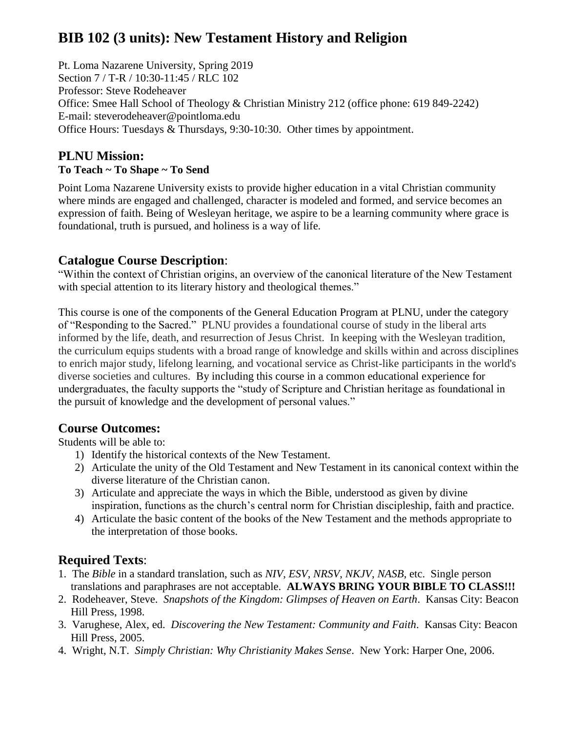# **BIB 102 (3 units): New Testament History and Religion**

Pt. Loma Nazarene University, Spring 2019 Section 7 / T-R / 10:30-11:45 / RLC 102 Professor: Steve Rodeheaver Office: Smee Hall School of Theology & Christian Ministry 212 (office phone: 619 849-2242) E-mail: [steverodeheaver@pointloma.edu](mailto:steverodeheaver@pointloma.edu) Office Hours: Tuesdays & Thursdays, 9:30-10:30. Other times by appointment.

### **PLNU Mission: To Teach ~ To Shape ~ To Send**

Point Loma Nazarene University exists to provide higher education in a vital Christian community where minds are engaged and challenged, character is modeled and formed, and service becomes an expression of faith. Being of Wesleyan heritage, we aspire to be a learning community where grace is foundational, truth is pursued, and holiness is a way of life.

### **Catalogue Course Description**:

"Within the context of Christian origins, an overview of the canonical literature of the New Testament with special attention to its literary history and theological themes."

This course is one of the components of the General Education Program at PLNU, under the category of "Responding to the Sacred." PLNU provides a foundational course of study in the liberal arts informed by the life, death, and resurrection of Jesus Christ. In keeping with the Wesleyan tradition, the curriculum equips students with a broad range of knowledge and skills within and across disciplines to enrich major study, lifelong learning, and vocational service as Christ-like participants in the world's diverse societies and cultures. By including this course in a common educational experience for undergraduates, the faculty supports the "study of Scripture and Christian heritage as foundational in the pursuit of knowledge and the development of personal values."

# **Course Outcomes:**

Students will be able to:

- 1) Identify the historical contexts of the New Testament.
- 2) Articulate the unity of the Old Testament and New Testament in its canonical context within the diverse literature of the Christian canon.
- 3) Articulate and appreciate the ways in which the Bible, understood as given by divine inspiration, functions as the church's central norm for Christian discipleship, faith and practice.
- 4) Articulate the basic content of the books of the New Testament and the methods appropriate to the interpretation of those books.

# **Required Texts**:

- 1. The *Bible* in a standard translation, such as *NIV*, *ESV*, *NRSV*, *NKJV*, *NASB*, etc. Single person translations and paraphrases are not acceptable. **ALWAYS BRING YOUR BIBLE TO CLASS!!!**
- 2. Rodeheaver, Steve. *Snapshots of the Kingdom: Glimpses of Heaven on Earth*. Kansas City: Beacon Hill Press, 1998.
- 3. Varughese, Alex, ed. *Discovering the New Testament: Community and Faith*. Kansas City: Beacon Hill Press, 2005.
- 4. Wright, N.T. *Simply Christian: Why Christianity Makes Sense*. New York: Harper One, 2006.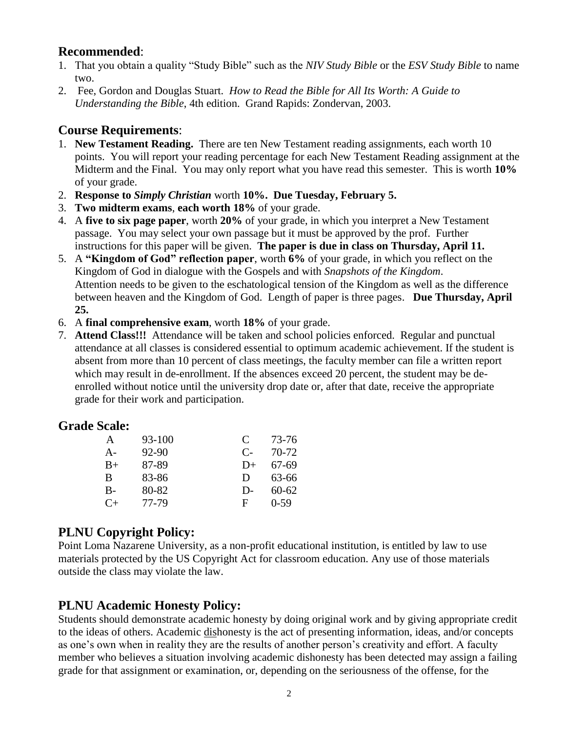#### **Recommended**:

- 1. That you obtain a quality "Study Bible" such as the *NIV Study Bible* or the *ESV Study Bible* to name two.
- 2. Fee, Gordon and Douglas Stuart. *How to Read the Bible for All Its Worth: A Guide to Understanding the Bible*, 4th edition. Grand Rapids: Zondervan, 2003.

#### **Course Requirements**:

- 1. **New Testament Reading.** There are ten New Testament reading assignments, each worth 10 points. You will report your reading percentage for each New Testament Reading assignment at the Midterm and the Final. You may only report what you have read this semester. This is worth **10%** of your grade.
- 2. **Response to** *Simply Christian* worth **10%. Due Tuesday, February 5.**
- 3. **Two midterm exams**, **each worth 18%** of your grade.
- 4. A **five to six page paper**, worth **20%** of your grade, in which you interpret a New Testament passage. You may select your own passage but it must be approved by the prof. Further instructions for this paper will be given. **The paper is due in class on Thursday, April 11.**
- 5. A **"Kingdom of God" reflection paper**, worth **6%** of your grade, in which you reflect on the Kingdom of God in dialogue with the Gospels and with *Snapshots of the Kingdom*. Attention needs to be given to the eschatological tension of the Kingdom as well as the difference between heaven and the Kingdom of God. Length of paper is three pages. **Due Thursday, April 25.**
- 6. A **final comprehensive exam**, worth **18%** of your grade.
- 7. **Attend Class!!!** Attendance will be taken and school policies enforced. Regular and punctual attendance at all classes is considered essential to optimum academic achievement. If the student is absent from more than 10 percent of class meetings, the faculty member can file a written report which may result in de-enrollment. If the absences exceed 20 percent, the student may be deenrolled without notice until the university drop date or, after that date, receive the appropriate grade for their work and participation.

#### **Grade Scale:**

| A       | 93-100 | $\mathbf C$ | 73-76     |
|---------|--------|-------------|-----------|
| $A-$    | 92-90  | $C_{\tau}$  | 70-72     |
| $B+$    | 87-89  | $D+$        | 67-69     |
| B       | 83-86  | D           | 63-66     |
| $B-$    | 80-82  | $D-$        | $60 - 62$ |
| $C_{+}$ | 77-79  | F.          | $0-59$    |

### **PLNU Copyright Policy:**

Point Loma Nazarene University, as a non-profit educational institution, is entitled by law to use materials protected by the US Copyright Act for classroom education. Any use of those materials outside the class may violate the law.

# **PLNU Academic Honesty Policy:**

Students should demonstrate academic honesty by doing original work and by giving appropriate credit to the ideas of others. Academic dishonesty is the act of presenting information, ideas, and/or concepts as one's own when in reality they are the results of another person's creativity and effort. A faculty member who believes a situation involving academic dishonesty has been detected may assign a failing grade for that assignment or examination, or, depending on the seriousness of the offense, for the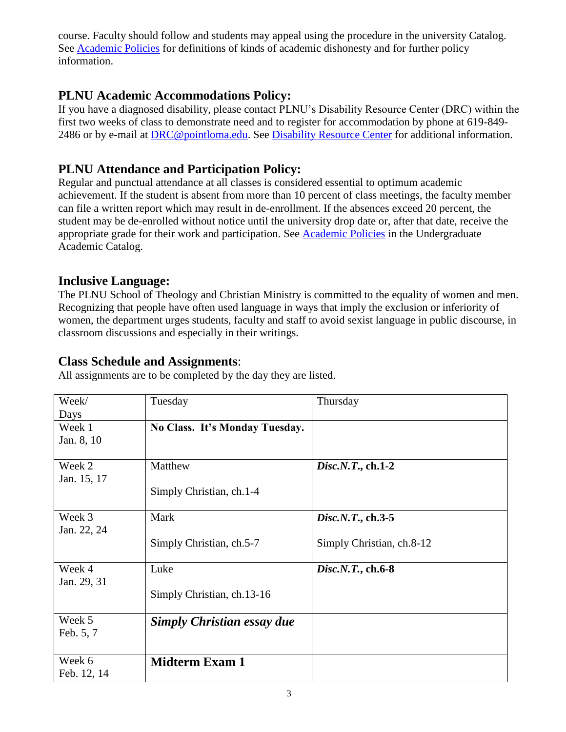course. Faculty should follow and students may appeal using the procedure in the university Catalog. See [Academic Policies](http://catalog.pointloma.edu/content.php?catoid=18&navoid=1278) for definitions of kinds of academic dishonesty and for further policy information.

# **PLNU Academic Accommodations Policy:**

If you have a diagnosed disability, please contact PLNU's Disability Resource Center (DRC) within the first two weeks of class to demonstrate need and to register for accommodation by phone at 619-849- 2486 or by e-mail at **DRC@pointloma.edu.** See **Disability Resource Center** for additional information.

# **PLNU Attendance and Participation Policy:**

Regular and punctual attendance at all classes is considered essential to optimum academic achievement. If the student is absent from more than 10 percent of class meetings, the faculty member can file a written report which may result in de-enrollment. If the absences exceed 20 percent, the student may be de-enrolled without notice until the university drop date or, after that date, receive the appropriate grade for their work and participation. See [Academic Policies](http://catalog.pointloma.edu/content.php?catoid=18&navoid=1278) in the Undergraduate Academic Catalog.

### **Inclusive Language:**

The PLNU School of Theology and Christian Ministry is committed to the equality of women and men. Recognizing that people have often used language in ways that imply the exclusion or inferiority of women, the department urges students, faculty and staff to avoid sexist language in public discourse, in classroom discussions and especially in their writings.

### **Class Schedule and Assignments**:

All assignments are to be completed by the day they are listed.

| Week/       | Tuesday                           | Thursday                  |
|-------------|-----------------------------------|---------------------------|
| Days        |                                   |                           |
| Week 1      | No Class. It's Monday Tuesday.    |                           |
| Jan. 8, 10  |                                   |                           |
|             |                                   |                           |
| Week 2      | Matthew                           | $Disc.N. T., ch. 1-2$     |
| Jan. 15, 17 |                                   |                           |
|             | Simply Christian, ch.1-4          |                           |
|             |                                   |                           |
| Week 3      | Mark                              | $Disc.N. T., ch. 3-5$     |
| Jan. 22, 24 |                                   |                           |
|             | Simply Christian, ch.5-7          | Simply Christian, ch.8-12 |
|             |                                   |                           |
| Week 4      | Luke                              | $Disc.N. T., ch. 6-8$     |
| Jan. 29, 31 |                                   |                           |
|             | Simply Christian, ch.13-16        |                           |
|             |                                   |                           |
| Week 5      | <b>Simply Christian essay due</b> |                           |
| Feb. 5, 7   |                                   |                           |
|             |                                   |                           |
| Week 6      | <b>Midterm Exam 1</b>             |                           |
| Feb. 12, 14 |                                   |                           |